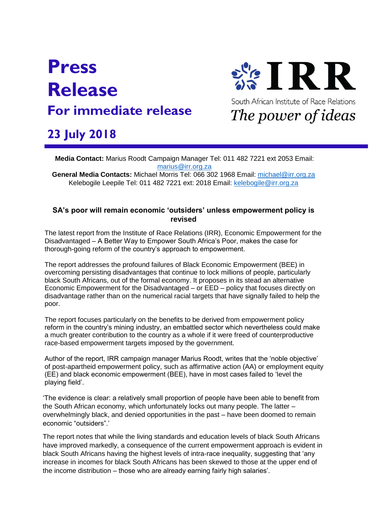## **Press Release For immediate release**



## **23 July 2018**

**Media Contact:** Marius Roodt Campaign Manager Tel: 011 482 7221 ext 2053 Email:<br><u>marius@irr.org.za</u> [marius@irr.org.za](mailto:marius@irr.org.za) **2018lyDecemb22ewrf**

**General Media Contacts:** Michael Morris Tel: 066 302 1968 Email: [michael@irr.org.za](mailto:michael@irr.org.za)  Kelebogile Leepile Tel: 011 482 7221 ext: 2018 Email: [kelebogile@irr.org.za](mailto:kelebogile@irr.org.za)

## **SA's poor will remain economic 'outsiders' unless empowerment policy is revised**

The latest report from the Institute of Race Relations (IRR), Economic Empowerment for the Disadvantaged – A Better Way to Empower South Africa's Poor, makes the case for thorough-going reform of the country's approach to empowerment.

The report addresses the profound failures of Black Economic Empowerment (BEE) in overcoming persisting disadvantages that continue to lock millions of people, particularly black South Africans, out of the formal economy. It proposes in its stead an alternative Economic Empowerment for the Disadvantaged – or EED – policy that focuses directly on disadvantage rather than on the numerical racial targets that have signally failed to help the poor.

The report focuses particularly on the benefits to be derived from empowerment policy reform in the country's mining industry, an embattled sector which nevertheless could make a much greater contribution to the country as a whole if it were freed of counterproductive race-based empowerment targets imposed by the government.

Author of the report, IRR campaign manager Marius Roodt, writes that the 'noble objective' of post-apartheid empowerment policy, such as affirmative action (AA) or employment equity (EE) and black economic empowerment (BEE), have in most cases failed to 'level the playing field'.

'The evidence is clear: a relatively small proportion of people have been able to benefit from the South African economy, which unfortunately locks out many people. The latter – overwhelmingly black, and denied opportunities in the past – have been doomed to remain economic "outsiders".'

The report notes that while the living standards and education levels of black South Africans have improved markedly, a consequence of the current empowerment approach is evident in black South Africans having the highest levels of intra-race inequality, suggesting that 'any increase in incomes for black South Africans has been skewed to those at the upper end of the income distribution – those who are already earning fairly high salaries'.